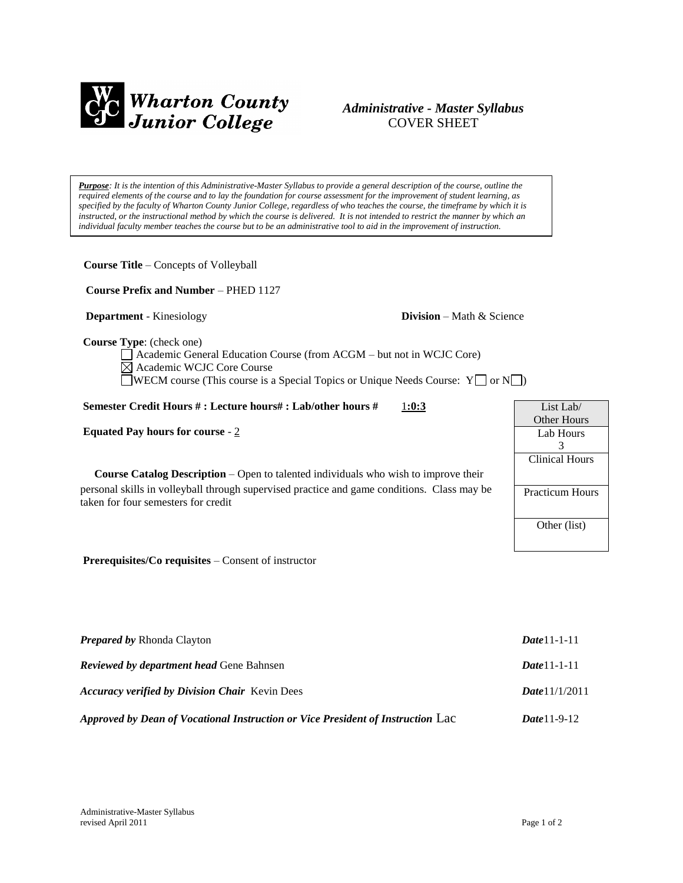

# *Administrative - Master Syllabus*  COVER SHEET

*Purpose: It is the intention of this Administrative-Master Syllabus to provide a general description of the course, outline the required elements of the course and to lay the foundation for course assessment for the improvement of student learning, as specified by the faculty of Wharton County Junior College, regardless of who teaches the course, the timeframe by which it is instructed, or the instructional method by which the course is delivered. It is not intended to restrict the manner by which an individual faculty member teaches the course but to be an administrative tool to aid in the improvement of instruction.*

**Course Title** – Concepts of Volleyball  **Course Prefix and Number** – PHED 1127

**Department** - Kinesiology **Division** – Math & Science

**Course Type**: (check one)

Academic General Education Course (from ACGM – but not in WCJC Core) Academic WCJC Core Course  $\Box$ WECM course (This course is a Special Topics or Unique Needs Course: Y $\Box$  or N $\Box$ )

# **Semester Credit Hours # : Lecture hours# : Lab/other hours #** 1**:0:3**

**Equated Pay hours for course** - 2

**Course Catalog Description** – Open to talented individuals who wish to improve their personal skills in volleyball through supervised practice and game conditions. Class may be taken for four semesters for credit

List Lab/ Other Hours Lab Hours 3 Clinical Hours Practicum Hours Other (list)

**Prerequisites/Co requisites** – Consent of instructor

| <b>Prepared by Rhonda Clayton</b>                                               | $Date 11 - 1 - 11$      |
|---------------------------------------------------------------------------------|-------------------------|
| <b>Reviewed by department head Gene Bahnsen</b>                                 | $Date 11 - 1 - 11$      |
| <b>Accuracy verified by Division Chair</b> Kevin Dees                           | <b>Date</b> $11/1/2011$ |
| Approved by Dean of Vocational Instruction or Vice President of Instruction Lac | <b>Date</b> 11-9-12     |